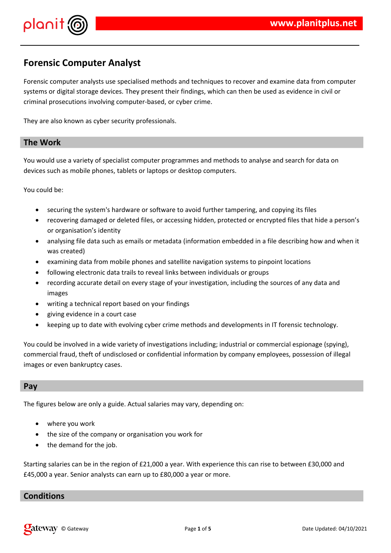



## **Forensic Computer Analyst**

Forensic computer analysts use specialised methods and techniques to recover and examine data from computer systems or digital storage devices. They present their findings, which can then be used as evidence in civil or criminal prosecutions involving computer-based, or cyber crime.

They are also known as cyber security professionals.

#### **The Work**

You would use a variety of specialist computer programmes and methods to analyse and search for data on devices such as mobile phones, tablets or laptops or desktop computers.

You could be:

- securing the system's hardware or software to avoid further tampering, and copying its files
- recovering damaged or deleted files, or accessing hidden, protected or encrypted files that hide a person's or organisation's identity
- analysing file data such as emails or metadata (information embedded in a file describing how and when it was created)
- examining data from mobile phones and satellite navigation systems to pinpoint locations
- following electronic data trails to reveal links between individuals or groups
- recording accurate detail on every stage of your investigation, including the sources of any data and images
- writing a technical report based on your findings
- giving evidence in a court case
- keeping up to date with evolving cyber crime methods and developments in IT forensic technology.

You could be involved in a wide variety of investigations including; industrial or commercial espionage (spying), commercial fraud, theft of undisclosed or confidential information by company employees, possession of illegal images or even bankruptcy cases.

#### **Pay**

The figures below are only a guide. Actual salaries may vary, depending on:

- where you work
- the size of the company or organisation you work for
- the demand for the job.

Starting salaries can be in the region of £21,000 a year. With experience this can rise to between £30,000 and £45,000 a year. Senior analysts can earn up to £80,000 a year or more.

### **Conditions**

© Gateway Page **1** of **5** Date Updated: 04/10/2021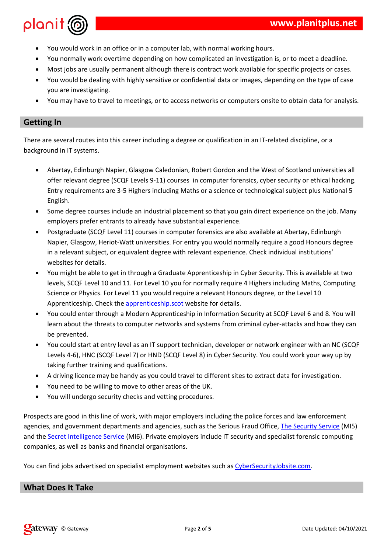| $\left( \begin{array}{ccc} 0 & 0 & 0 \\ 0 & 0 & 0 \\ 0 & 0 & 0 \\ 0 & 0 & 0 \\ 0 & 0 & 0 \\ 0 & 0 & 0 \\ 0 & 0 & 0 \\ 0 & 0 & 0 \\ 0 & 0 & 0 \\ 0 & 0 & 0 \\ 0 & 0 & 0 \\ 0 & 0 & 0 \\ 0 & 0 & 0 \\ 0 & 0 & 0 & 0 \\ 0 & 0 & 0 & 0 \\ 0 & 0 & 0 & 0 \\ 0 & 0 & 0 & 0 \\ 0 & 0 & 0 & 0 & 0 \\ 0 & 0 & 0 & 0 & 0 \\ 0 & 0 & 0 & 0 & 0 \\$ |                                                                                                                                                                                                                                                                                               | & % ( # |         |   |   |
|-----------------------------------------------------------------------------------------------------------------------------------------------------------------------------------------------------------------------------------------------------------------------------------------------------------------------------------------|-----------------------------------------------------------------------------------------------------------------------------------------------------------------------------------------------------------------------------------------------------------------------------------------------|---------|---------|---|---|
| $\left( \begin{array}{c} 1 \end{array} \right)$                                                                                                                                                                                                                                                                                         |                                                                                                                                                                                                                                                                                               |         |         | % | # |
| $9$ 2 &                                                                                                                                                                                                                                                                                                                                 |                                                                                                                                                                                                                                                                                               |         | $($ ! & |   |   |
| $\lambda$ 8                                                                                                                                                                                                                                                                                                                             |                                                                                                                                                                                                                                                                                               |         |         | % |   |
|                                                                                                                                                                                                                                                                                                                                         |                                                                                                                                                                                                                                                                                               |         |         |   |   |
|                                                                                                                                                                                                                                                                                                                                         | ) and $\frac{1}{2}$ and $\frac{1}{2}$ and $\frac{1}{2}$ and $\frac{1}{2}$ and $\frac{1}{2}$ and $\frac{1}{2}$ and $\frac{1}{2}$ and $\frac{1}{2}$ and $\frac{1}{2}$ and $\frac{1}{2}$ and $\frac{1}{2}$ and $\frac{1}{2}$ and $\frac{1}{2}$ and $\frac{1}{2}$ and $\frac{1}{2}$ and $\frac{1$ |         |         |   |   |

 $\begin{array}{c} \mathsf{S} \\ \mathsf{S} \end{array}$  $\begin{array}{c} 1 \\ 1 \\ 2 \end{array}$ 

 $\overline{\phantom{a}}$ 

 $\cdot$   $\updownarrow$  '  $\frac{1}{6}$ 

 $\overline{a}$  $#$ 

| 0 &                                  | $%$ :                                                                                                                                                                                                                                                                                                                                                                                                 | $\frac{1}{6}$ % | $\,<$                           | $= 9%$                      |                |              | 5                      | $\mathfrak{S}$   | Ţ           |  |
|--------------------------------------|-------------------------------------------------------------------------------------------------------------------------------------------------------------------------------------------------------------------------------------------------------------------------------------------------------------------------------------------------------------------------------------------------------|-----------------|---------------------------------|-----------------------------|----------------|--------------|------------------------|------------------|-------------|--|
|                                      | $\mathbf{I}$                                                                                                                                                                                                                                                                                                                                                                                          |                 | $, 3 < > ? !$ @' -              |                             |                |              | $\%$                   | &                |             |  |
| t,                                   |                                                                                                                                                                                                                                                                                                                                                                                                       |                 | A 6'7                           | $\overline{9}$              |                |              |                        | 82;              | 7           |  |
| ł,                                   | #                                                                                                                                                                                                                                                                                                                                                                                                     |                 |                                 |                             |                |              |                        |                  |             |  |
| 3                                    |                                                                                                                                                                                                                                                                                                                                                                                                       |                 |                                 |                             |                |              |                        | $\mathbf{H}$     | 2 89#       |  |
|                                      |                                                                                                                                                                                                                                                                                                                                                                                                       |                 |                                 | $\boldsymbol{\&}$<br>T      | Ш              | $\#$         |                        |                  |             |  |
|                                      |                                                                                                                                                                                                                                                                                                                                                                                                       | , 3 <           | $\ddot{?}$ !                    |                             |                | $\mathbf{I}$ | &                      | 0 &              | $%$ :       |  |
| $\vdots$                             | $\%$                                                                                                                                                                                                                                                                                                                                                                                                  | % A             | $^{\prime}5$                    | Ţ                           | $\#$           |              |                        | A                |             |  |
|                                      | $\mathbf{I}$                                                                                                                                                                                                                                                                                                                                                                                          | & 2 %           | 1                               | $\mathbf{I}$                | П              | 4            | (                      | Ţ                |             |  |
| $\boldsymbol{\alpha}$                |                                                                                                                                                                                                                                                                                                                                                                                                       | #               |                                 |                             |                |              |                        |                  |             |  |
| $\mathcal{L}$                        | & &                                                                                                                                                                                                                                                                                                                                                                                                   |                 |                                 | $\pmb{0}$                   |                |              | 3 < 8                  | # $$1 \t 8$      |             |  |
| Ţ                                    | % $3 < 1$                                                                                                                                                                                                                                                                                                                                                                                             |                 | #? !                            |                             |                | A            |                        |                  | $\%$<br>€   |  |
| $\ensuremath{\mathsf{3}}$            |                                                                                                                                                                                                                                                                                                                                                                                                       | #               | $? \mid$                        |                             | л.             | $\mathsf{A}$ | $\%$                   |                  | $? \quad !$ |  |
| $\mathbf 0$                          |                                                                                                                                                                                                                                                                                                                                                                                                       | # <             |                                 | #                           | &              | #            |                        |                  |             |  |
| $\big)$                              |                                                                                                                                                                                                                                                                                                                                                                                                       |                 | $\boldsymbol{9}$<br>$\mathbf 0$ |                             |                | 3            |                        | 3B > 87#!        |             |  |
|                                      | $\boldsymbol{\alpha}$                                                                                                                                                                                                                                                                                                                                                                                 |                 |                                 |                             |                |              | $\pmb{\&}$<br>$\sim$ 1 | $\overline{(\ }$ |             |  |
| $\pmb{\&}$                           | $\mathbf{I}$                                                                                                                                                                                                                                                                                                                                                                                          | $\#$            |                                 |                             |                |              |                        |                  |             |  |
| $\big)$                              |                                                                                                                                                                                                                                                                                                                                                                                                       |                 | .15                             |                             | $\%$           | $\mathbf{I}$ | $\left($               |                  | , $3, 3$    |  |
| $\ddot{\phantom{0}}$<br>$\mathbf{I}$ | AB; <b>0</b> , 3 <b>0</b>                                                                                                                                                                                                                                                                                                                                                                             |                 |                                 | $C - 1A$ ; $3 < > ?8$ ! < & |                | 3)           | $\#$                   |                  | &           |  |
|                                      |                                                                                                                                                                                                                                                                                                                                                                                                       |                 |                                 | $\#$                        |                |              |                        |                  |             |  |
| $\pmb{0}$                            | $\mathbf{I}% =\mathbf{I}^{T}\mathbf{e}_{\mathbf{I}}\mathbf{v}^{T}\mathbf{v}^{T}\mathbf{v}^{T}\mathbf{v}^{T}\mathbf{v}^{T}\mathbf{v}^{T}\mathbf{v}^{T}\mathbf{v}^{T}\mathbf{v}^{T}\mathbf{v}^{T}\mathbf{v}^{T}\mathbf{v}^{T}\mathbf{v}^{T}\mathbf{v}^{T}\mathbf{v}^{T}\mathbf{v}^{T}\mathbf{v}^{T}\mathbf{v}^{T}\mathbf{v}^{T}\mathbf{v}^{T}\mathbf{v}^{T}\mathbf{v}^{T}\mathbf{v}^{T}\mathbf{v}^{T}\$ |                 | $\&$                            |                             |                | Ħ            |                        | Ţ                | $\#$        |  |
| $\mathcal{C}$                        | $\&$                                                                                                                                                                                                                                                                                                                                                                                                  |                 | J.                              |                             | D#             |              |                        |                  |             |  |
| $\mathcal{E}$                        |                                                                                                                                                                                                                                                                                                                                                                                                       |                 | L                               |                             | $\#$           |              |                        |                  |             |  |
|                                      |                                                                                                                                                                                                                                                                                                                                                                                                       |                 | ( %)<br>$\sqrt{2}$              |                             |                |              |                        |                  |             |  |
| $\%$                                 | Ţ                                                                                                                                                                                                                                                                                                                                                                                                     |                 |                                 | $\%$                        | $\mathfrak{B}$ |              | $E$ and $E$            | % $\frac{1}{2}$  | 3, 9.7      |  |
| 3 <sup>2</sup>                       |                                                                                                                                                                                                                                                                                                                                                                                                       |                 | $9.3B - #!$                     |                             |                |              |                        |                  |             |  |
| $\%$                                 |                                                                                                                                                                                                                                                                                                                                                                                                       | $\&$            | $\left($                        | $\#$                        |                |              |                        |                  |             |  |
|                                      | 28                                                                                                                                                                                                                                                                                                                                                                                                    | Ţ               |                                 | $\&$                        |                |              | $<$ &<br>3             |                  | F &<br>$\#$ |  |
|                                      |                                                                                                                                                                                                                                                                                                                                                                                                       |                 |                                 |                             |                |              |                        |                  |             |  |
|                                      |                                                                                                                                                                                                                                                                                                                                                                                                       |                 |                                 |                             |                |              |                        |                  |             |  |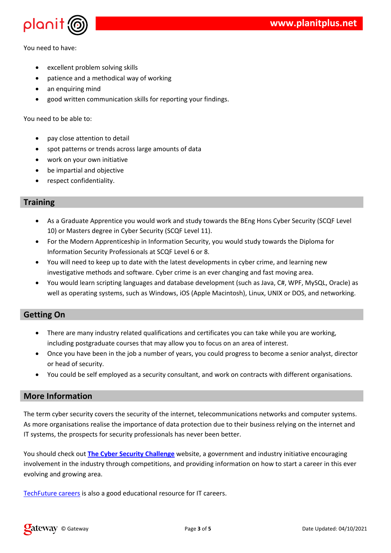| $\mathcal{E}$                                                                                                                                                  | $\mathbf{I}$<br>$\mathbf{H}$                | $\boldsymbol{\alpha}$                                                           | $\sim 10^{-10}$<br>$\overline{(}$ | $\left($ |                                                                                                         |                                         | $\#$                                |                                       |                                                                                                                                                                                                                                                                                                                                                                                |   |                                  |                    |
|----------------------------------------------------------------------------------------------------------------------------------------------------------------|---------------------------------------------|---------------------------------------------------------------------------------|-----------------------------------|----------|---------------------------------------------------------------------------------------------------------|-----------------------------------------|-------------------------------------|---------------------------------------|--------------------------------------------------------------------------------------------------------------------------------------------------------------------------------------------------------------------------------------------------------------------------------------------------------------------------------------------------------------------------------|---|----------------------------------|--------------------|
|                                                                                                                                                                | $\alpha$                                    | $\&$                                                                            |                                   |          |                                                                                                         |                                         |                                     |                                       |                                                                                                                                                                                                                                                                                                                                                                                |   |                                  |                    |
| $\pmb{\&}$                                                                                                                                                     | $\overline{(}$                              |                                                                                 | Ţ<br>& 2<br>$\mathbf{I}$<br>$\#$  |          |                                                                                                         |                                         |                                     |                                       |                                                                                                                                                                                                                                                                                                                                                                                |   |                                  |                    |
| $\boldsymbol{0}$<br>$\mathcal{E}$                                                                                                                              | $-9$<br>$9\,$<br>T                          | $\pmb{0}$<br>$\overline{0}$<br>$\mathfrak{S}$<br>$\overline{(}$<br>$\mathbf{I}$ | $\%$                              | $\# 8$   | < 8, 3 < > ? !<br>$3 < > ?$ ! B $8#$<br>$\overline{\phantom{a}}$<br>$\&$<br>5 %, 0E 3 9 ? - % % I E 3 % | - $#$<br>3 <sup>7</sup><br>$\mathbf{I}$ |                                     | $\%$<br>& %                           | G: A < & ?3!<br>$\frac{1}{2}$ $\frac{1}{2}$ $\frac{1}{2}$ $\frac{1}{2}$ $\frac{1}{2}$ $\frac{1}{2}$ $\frac{1}{2}$ $\frac{1}{2}$ $\frac{1}{2}$ $\frac{1}{2}$ $\frac{1}{2}$ $\frac{1}{2}$ $\frac{1}{2}$ $\frac{1}{2}$ $\frac{1}{2}$ $\frac{1}{2}$ $\frac{1}{2}$ $\frac{1}{2}$ $\frac{1}{2}$ $\frac{1}{2}$ $\frac{1}{2}$ $\frac{1}{2}$<br>$\frac{1}{2}$ , F ! % 5< H% 9 3 > ? % E |   |                                  |                    |
| $\boldsymbol{\$}$<br>$\mathsf E$<br>$\big)$                                                                                                                    | $\mathbf{u}$                                | $\Gamma$<br>$\#$<br>$\pmb{\&}$                                                  | & 2 & &                           |          | $\%$                                                                                                    | % (                                     |                                     | $\overline{\phantom{a}}$<br>$\pmb{8}$ | $\#$                                                                                                                                                                                                                                                                                                                                                                           |   | $\%$<br>$\overline{(\ }$<br>$\%$ |                    |
| $\#$<br>$60$<br>$.6$<br>$\big)$                                                                                                                                | $\boldsymbol{\$}$<br>8 <sup>8</sup><br>$\%$ |                                                                                 | Ţ<br>$\frac{9}{6}$<br>8           |          | $\mathbf{I}$<br>$\pmb{\&}$                                                                              | $\&$<br>$%$ !                           | $\boldsymbol{\&}$<br>8 <sub>1</sub> | $\%$<br>$\#$                          |                                                                                                                                                                                                                                                                                                                                                                                | ļ |                                  | $\pmb{\ddot{\pi}}$ |
| $\mathbf{I}% _{t}\left  \mathbf{I}_{t}\right  =\mathbf{I}_{t}\left  \mathbf{I}_{t}\right $<br>$\blacksquare$<br>$\mathbf{I}$<br>Ţ<br>$\boldsymbol{\mathsf{S}}$ |                                             | $\#$                                                                            |                                   |          | $\bar{\rm I}$                                                                                           | %<br>. $\boldsymbol{\$}$                | $\#$                                |                                       |                                                                                                                                                                                                                                                                                                                                                                                |   |                                  |                    |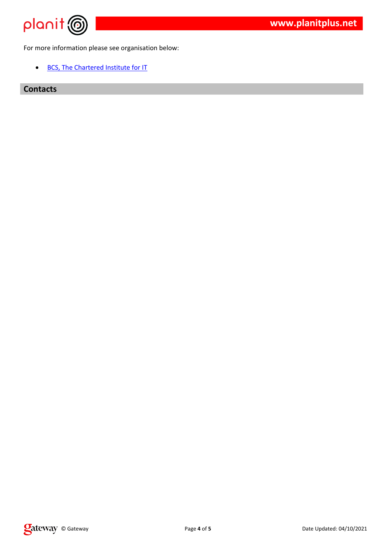